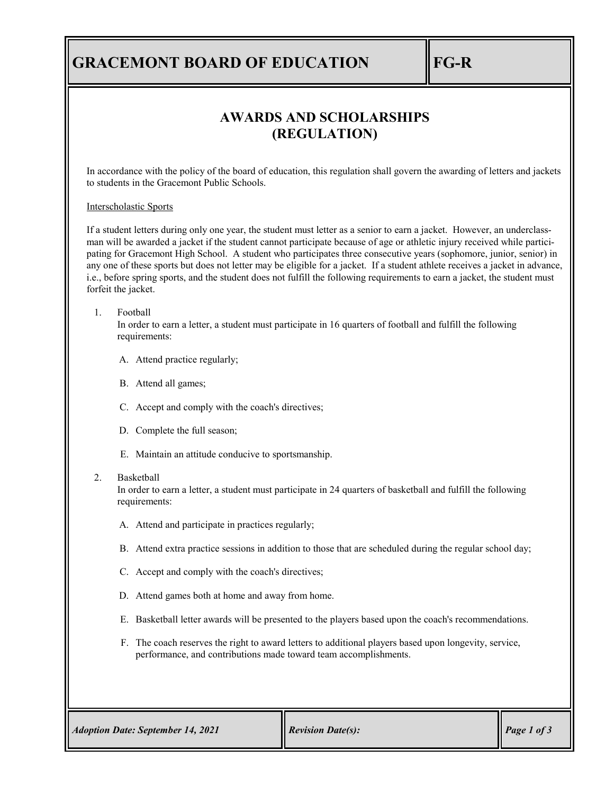## **GRACEMONT BOARD OF EDUCATION FG-R**

### **AWARDS AND SCHOLARSHIPS (REGULATION)**

In accordance with the policy of the board of education, this regulation shall govern the awarding of letters and jackets to students in the Gracemont Public Schools.

#### Interscholastic Sports

If a student letters during only one year, the student must letter as a senior to earn a jacket. However, an underclassman will be awarded a jacket if the student cannot participate because of age or athletic injury received while participating for Gracemont High School. A student who participates three consecutive years (sophomore, junior, senior) in any one of these sports but does not letter may be eligible for a jacket. If a student athlete receives a jacket in advance, i.e., before spring sports, and the student does not fulfill the following requirements to earn a jacket, the student must forfeit the jacket.

#### 1. Football

In order to earn a letter, a student must participate in 16 quarters of football and fulfill the following requirements:

- A. Attend practice regularly;
- B. Attend all games;
- C. Accept and comply with the coach's directives;
- D. Complete the full season;
- E. Maintain an attitude conducive to sportsmanship.

#### 2. Basketball

In order to earn a letter, a student must participate in 24 quarters of basketball and fulfill the following requirements:

- A. Attend and participate in practices regularly;
- B. Attend extra practice sessions in addition to those that are scheduled during the regular school day;
- C. Accept and comply with the coach's directives;
- D. Attend games both at home and away from home.
- E. Basketball letter awards will be presented to the players based upon the coach's recommendations.
- F. The coach reserves the right to award letters to additional players based upon longevity, service, performance, and contributions made toward team accomplishments.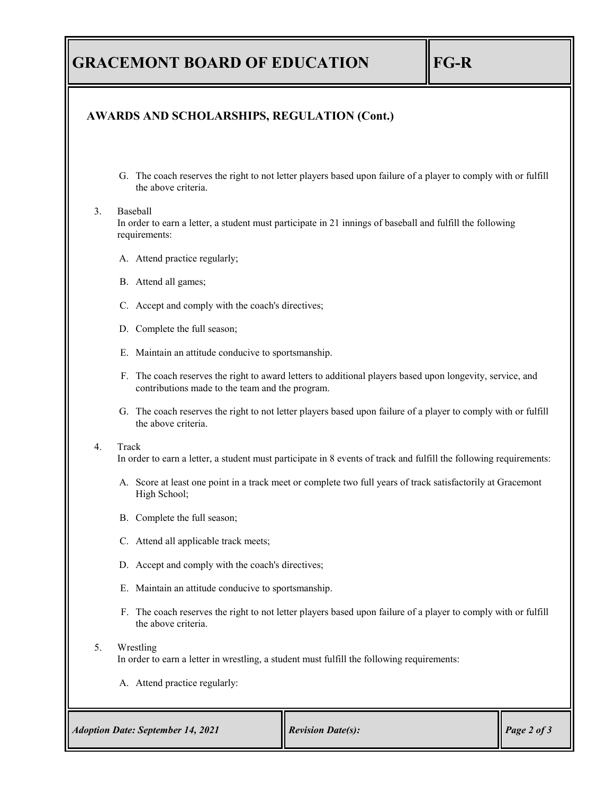# **GRACEMONT BOARD OF EDUCATION FG-R**

### **AWARDS AND SCHOLARSHIPS, REGULATION (Cont.)**

G. The coach reserves the right to not letter players based upon failure of a player to comply with or fulfill the above criteria.

#### 3. Baseball

In order to earn a letter, a student must participate in 21 innings of baseball and fulfill the following requirements:

- A. Attend practice regularly;
- B. Attend all games;
- C. Accept and comply with the coach's directives;
- D. Complete the full season;
- E. Maintain an attitude conducive to sportsmanship.
- F. The coach reserves the right to award letters to additional players based upon longevity, service, and contributions made to the team and the program.
- G. The coach reserves the right to not letter players based upon failure of a player to comply with or fulfill the above criteria.

#### 4. Track

In order to earn a letter, a student must participate in 8 events of track and fulfill the following requirements:

- A. Score at least one point in a track meet or complete two full years of track satisfactorily at Gracemont High School;
- B. Complete the full season;
- C. Attend all applicable track meets;
- D. Accept and comply with the coach's directives;
- E. Maintain an attitude conducive to sportsmanship.
- F. The coach reserves the right to not letter players based upon failure of a player to comply with or fulfill the above criteria.

#### 5. Wrestling

In order to earn a letter in wrestling, a student must fulfill the following requirements:

A. Attend practice regularly: